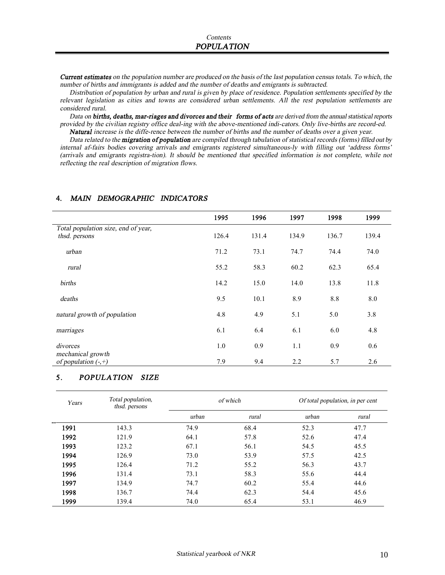**Current estimates** on the population number are produced on the basis of the last population census totals. To which, the *number of births and immigrants is added and the number of deaths and emigrants is subtracted.* 

Distribution of population by urban and rural is given by place of residence. Population settlements specified by the relevant legislation as cities and towns are considered urban settlements. All the rest population settlements are *considered rural.* 

*Data on births, deaths, mar-riages and divorces and their forms of acts are derived from the annualstatistical reports provided by the civilian registry office deal-ing with the above-mentioned indi-cators. Only live-births are record-ed.*  Natural increase is the diffe-rence between the number of births and the number of deaths over a given year.

Data related to the migration of population are compiled through tabulation of statistical records (forms) filled out by *internal af-fairs bodies covering arrivals and emigrants registered simultaneous-ly with filling out 'address forms'*  (arrivals and emigrants registra-tion). It should be mentioned that specified information is not complete, while not *reflecting the real description of migration flows.* 

|                                                      | 1995  | 1996  | 1997  | 1998  | 1999  |
|------------------------------------------------------|-------|-------|-------|-------|-------|
| Total population size, end of year,<br>thsd. persons | 126.4 | 131.4 | 134.9 | 136.7 | 139.4 |
| urban                                                | 71.2  | 73.1  | 74.7  | 74.4  | 74.0  |
| rural                                                | 55.2  | 58.3  | 60.2  | 62.3  | 65.4  |
| births                                               | 14.2  | 15.0  | 14.0  | 13.8  | 11.8  |
| deaths                                               | 9.5   | 10.1  | 8.9   | 8.8   | 8.0   |
| natural growth of population                         | 4.8   | 4.9   | 5.1   | 5.0   | 3.8   |
| marriages                                            | 6.1   | 6.4   | 6.1   | 6.0   | 4.8   |
| divorces<br>mechanical growth                        | 1.0   | 0.9   | 1.1   | 0.9   | 0.6   |
| of population $(-,+)$                                | 7.9   | 9.4   | 2.2   | 5.7   | 2.6   |

#### **4.** *MAIN DEMOGRAPHIC INDICATORS*

#### 5. *POPULATION SIZE*

| Years | Total population,<br>thsd. persons |       | of which | Of total population, in per cent |       |
|-------|------------------------------------|-------|----------|----------------------------------|-------|
|       |                                    | urban | rural    | urban                            | rural |
| 1991  | 143.3                              | 74.9  | 68.4     | 52.3                             | 47.7  |
| 1992  | 121.9                              | 64.1  | 57.8     | 52.6                             | 47.4  |
| 1993  | 123.2                              | 67.1  | 56.1     | 54.5                             | 45.5  |
| 1994  | 126.9                              | 73.0  | 53.9     | 57.5                             | 42.5  |
| 1995  | 126.4                              | 71.2  | 55.2     | 56.3                             | 43.7  |
| 1996  | 131.4                              | 73.1  | 58.3     | 55.6                             | 44.4  |
| 1997  | 134.9                              | 74.7  | 60.2     | 55.4                             | 44.6  |
| 1998  | 136.7                              | 74.4  | 62.3     | 54.4                             | 45.6  |
| 1999  | 139.4                              | 74.0  | 65.4     | 53.1                             | 46.9  |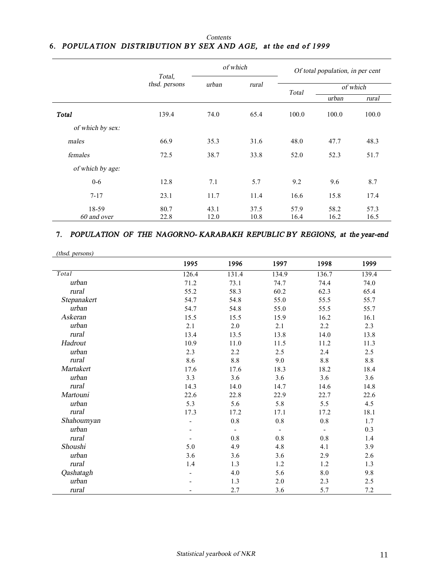#### *Contents* **6.** *POPULATION DISTRIBUTION BY SEX AND AGE, at the end of 1999*

|                      |               | of which                 |              |              | Of total population, in per cent |              |
|----------------------|---------------|--------------------------|--------------|--------------|----------------------------------|--------------|
|                      | thsd. persons | Total,<br>urban<br>rural |              |              | of which                         |              |
|                      | Total         |                          | urban        | rural        |                                  |              |
| <b>Total</b>         | 139.4         | 74.0                     | 65.4         | 100.0        | 100.0                            | 100.0        |
| of which by sex:     |               |                          |              |              |                                  |              |
| males                | 66.9          | 35.3                     | 31.6         | 48.0         | 47.7                             | 48.3         |
| females              | 72.5          | 38.7                     | 33.8         | 52.0         | 52.3                             | 51.7         |
| of which by age:     |               |                          |              |              |                                  |              |
| $0 - 6$              | 12.8          | 7.1                      | 5.7          | 9.2          | 9.6                              | 8.7          |
| $7 - 17$             | 23.1          | 11.7                     | 11.4         | 16.6         | 15.8                             | 17.4         |
| 18-59<br>60 and over | 80.7<br>22.8  | 43.1<br>12.0             | 37.5<br>10.8 | 57.9<br>16.4 | 58.2<br>16.2                     | 57.3<br>16.5 |

# **7.** *POPULATION OF THE NAGORNO- KARABAKH REPUBLIC BY REGIONS, at the year-end*

|                 | 1995                     | 1996                     | 1997                     | 1998                     | 1999  |
|-----------------|--------------------------|--------------------------|--------------------------|--------------------------|-------|
| Total           | 126.4                    | 131.4                    | 134.9                    | 136.7                    | 139.4 |
| urban           | 71.2                     | 73.1                     | 74.7                     | 74.4                     | 74.0  |
| rural           | 55.2                     | 58.3                     | 60.2                     | 62.3                     | 65.4  |
| Stepanakert     | 54.7                     | 54.8                     | 55.0                     | 55.5                     | 55.7  |
| urban           | 54.7                     | 54.8                     | 55.0                     | 55.5                     | 55.7  |
| Askeran         | 15.5                     | 15.5                     | 15.9                     | 16.2                     | 16.1  |
| urban           | 2.1                      | 2.0                      | 2.1                      | 2.2                      | 2.3   |
| rural           | 13.4                     | 13.5                     | 13.8                     | 14.0                     | 13.8  |
| Hadrout         | 10.9                     | 11.0                     | 11.5                     | 11.2                     | 11.3  |
| urban           | 2.3                      | 2.2                      | 2.5                      | 2.4                      | 2.5   |
| rural           | 8.6                      | $8.8\,$                  | 9.0                      | $8.8\,$                  | 8.8   |
| Martakert       | 17.6                     | 17.6                     | 18.3                     | 18.2                     | 18.4  |
| urban           | 3.3                      | 3.6                      | 3.6                      | 3.6                      | 3.6   |
| rural           | 14.3                     | 14.0                     | 14.7                     | 14.6                     | 14.8  |
| <b>Martouni</b> | 22.6                     | 22.8                     | 22.9                     | 22.7                     | 22.6  |
| urban           | 5.3                      | 5.6                      | 5.8                      | 5.5                      | 4.5   |
| rural           | 17.3                     | 17.2                     | 17.1                     | 17.2                     | 18.1  |
| Shahoumyan      |                          | $\rm 0.8$                | $0.8\,$                  | $\rm 0.8$                | 1.7   |
| urban           |                          | $\overline{\phantom{a}}$ | $\overline{\phantom{a}}$ | $\overline{\phantom{a}}$ | 0.3   |
| rural           |                          | $0.8\,$                  | 0.8                      | 0.8                      | 1.4   |
| Shoushi         | 5.0                      | 4.9                      | 4.8                      | 4.1                      | 3.9   |
| urban           | 3.6                      | 3.6                      | 3.6                      | 2.9                      | 2.6   |
| rural           | 1.4                      | 1.3                      | 1.2                      | 1.2                      | 1.3   |
| Qashatagh       | $\overline{\phantom{a}}$ | 4.0                      | 5.6                      | $\boldsymbol{8.0}$       | 9.8   |
| urban           |                          | 1.3                      | $2.0\,$                  | 2.3                      | 2.5   |
| rural           |                          | 2.7                      | 3.6                      | 5.7                      | 7.2   |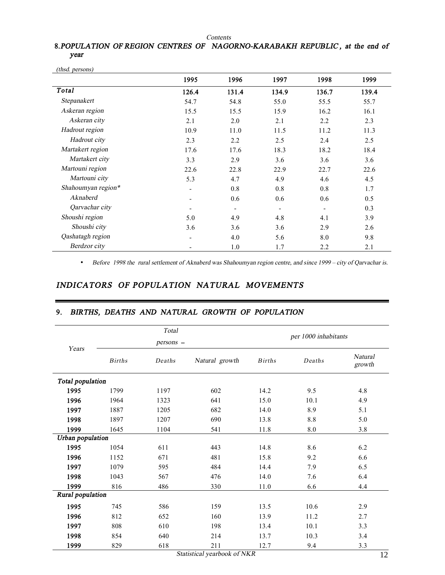*Contents*

## **8.***POPULATION OF REGION CENTRES OF NAGORNO-KARABAKH REPUBLIC , at the end of year*

|                    | 1995  | 1996                     | 1997  | 1998  | 1999  |
|--------------------|-------|--------------------------|-------|-------|-------|
| Total              | 126.4 | 131.4                    | 134.9 | 136.7 | 139.4 |
| Stepanakert        | 54.7  | 54.8                     | 55.0  | 55.5  | 55.7  |
| Askeran region     | 15.5  | 15.5                     | 15.9  | 16.2  | 16.1  |
| Askeran city       | 2.1   | 2.0                      | 2.1   | 2.2   | 2.3   |
| Hadrout region     | 10.9  | 11.0                     | 11.5  | 11.2  | 11.3  |
| Hadrout city       | 2.3   | 2.2                      | 2.5   | 2.4   | 2.5   |
| Martakert region   | 17.6  | 17.6                     | 18.3  | 18.2  | 18.4  |
| Martakert city     | 3.3   | 2.9                      | 3.6   | 3.6   | 3.6   |
| Martouni region    | 22.6  | 22.8                     | 22.9  | 22.7  | 22.6  |
| Martouni city      | 5.3   | 4.7                      | 4.9   | 4.6   | 4.5   |
| Shahoumyan region* | -     | 0.8                      | 0.8   | 0.8   | 1.7   |
| Aknaberd           | -     | 0.6                      | 0.6   | 0.6   | 0.5   |
| Qarvachar city     |       | $\overline{\phantom{a}}$ |       |       | 0.3   |
| Shoushi region     | 5.0   | 4.9                      | 4.8   | 4.1   | 3.9   |
| Shoushi city       | 3.6   | 3.6                      | 3.6   | 2.9   | 2.6   |
| Qashatagh region   |       | 4.0                      | 5.6   | 8.0   | 9.8   |
| Berdzor city       |       | 1.0                      | 1.7   | 2.2   | 2.1   |

*(thsd. persons)*

• *Before 1998 the rural settlement of Aknaberd was Shahoumyan region centre, and since <sup>1999</sup> – city of Qarvachar is.* 

## *INDICATORS OF POPULATION NATURAL MOVEMENTS*

# **9.** *BIRTHS, DEATHS AND NATURAL GROWTH OF POPULATION*

|                  |               | Total     |                |               | per 1000 inhabitants |                          |
|------------------|---------------|-----------|----------------|---------------|----------------------|--------------------------|
|                  |               | persons - |                |               |                      |                          |
| Years            | <b>Births</b> | Deaths    | Natural growth | <b>Births</b> | Deaths               | <b>Natural</b><br>growth |
| Total population |               |           |                |               |                      |                          |
| 1995             | 1799          | 1197      | 602            | 14.2          | 9.5                  | 4.8                      |
| 1996             | 1964          | 1323      | 641            | 15.0          | 10.1                 | 4.9                      |
| 1997             | 1887          | 1205      | 682            | 14.0          | 8.9                  | 5.1                      |
| 1998             | 1897          | 1207      | 690            | 13.8          | 8.8                  | 5.0                      |
| 1999             | 1645          | 1104      | 541            | 11.8          | $\boldsymbol{8.0}$   | 3.8                      |
| Urban population |               |           |                |               |                      |                          |
| 1995             | 1054          | 611       | 443            | 14.8          | 8.6                  | 6.2                      |
| 1996             | 1152          | 671       | 481            | 15.8          | 9.2                  | 6.6                      |
| 1997             | 1079          | 595       | 484            | 14.4          | 7.9                  | 6.5                      |
| 1998             | 1043          | 567       | 476            | 14.0          | 7.6                  | 6.4                      |
| 1999             | 816           | 486       | 330            | 11.0          | 6.6                  | 4.4                      |
| Rural population |               |           |                |               |                      |                          |
| 1995             | 745           | 586       | 159            | 13.5          | 10.6                 | 2.9                      |
| 1996             | 812           | 652       | 160            | 13.9          | 11.2                 | 2.7                      |
| 1997             | 808           | 610       | 198            | 13.4          | 10.1                 | 3.3                      |
| 1998             | 854           | 640       | 214            | 13.7          | 10.3                 | 3.4                      |
| 1999             | 829           | 618       | 211            | 12.7          | 9.4                  | 3.3                      |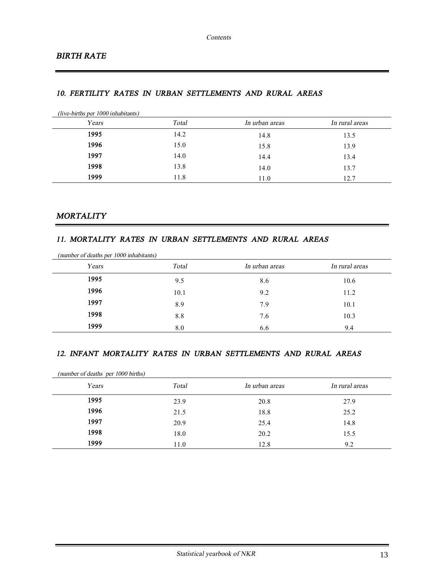### *10. FERTILITY RATES IN URBAN SETTLEMENTS AND RURAL AREAS*

| (live-births per 1000 inhabitants) |       |                |                |
|------------------------------------|-------|----------------|----------------|
| Years                              | Total | In urban areas | In rural areas |
| 1995                               | 14.2  | 14.8           | 13.5           |
| 1996                               | 15.0  | 15.8           | 13.9           |
| 1997                               | 14.0  | 14.4           | 13.4           |
| 1998                               | 13.8  | 14.0           | 13.7           |
| 1999                               | 11.8  | 11.0           | 12.7           |

## *MORTALITY*

#### *11. MORTALITY RATES IN URBAN SETTLEMENTS AND RURAL AREAS*

| Years | Total | In urban areas | In rural areas |
|-------|-------|----------------|----------------|
| 1995  | 9.5   | 8.6            | 10.6           |
| 1996  | 10.1  | 9.2            | 11.2           |
| 1997  | 8.9   | 7.9            | 10.1           |
| 1998  | 8.8   | 7.6            | 10.3           |
| 1999  | 8.0   | 6.6            | 9.4            |

#### *12. INFANT MORTALITY RATES IN URBAN SETTLEMENTS AND RURAL AREAS*

| (number of deaths per 1000 births) |       |                |                |
|------------------------------------|-------|----------------|----------------|
| Years                              | Total | In urban areas | In rural areas |
| 1995                               | 23.9  | 20.8           | 27.9           |
| 1996                               | 21.5  | 18.8           | 25.2           |
| 1997                               | 20.9  | 25.4           | 14.8           |
| 1998                               | 18.0  | 20.2           | 15.5           |
| 1999                               | 11.0  | 12.8           | 9.2            |